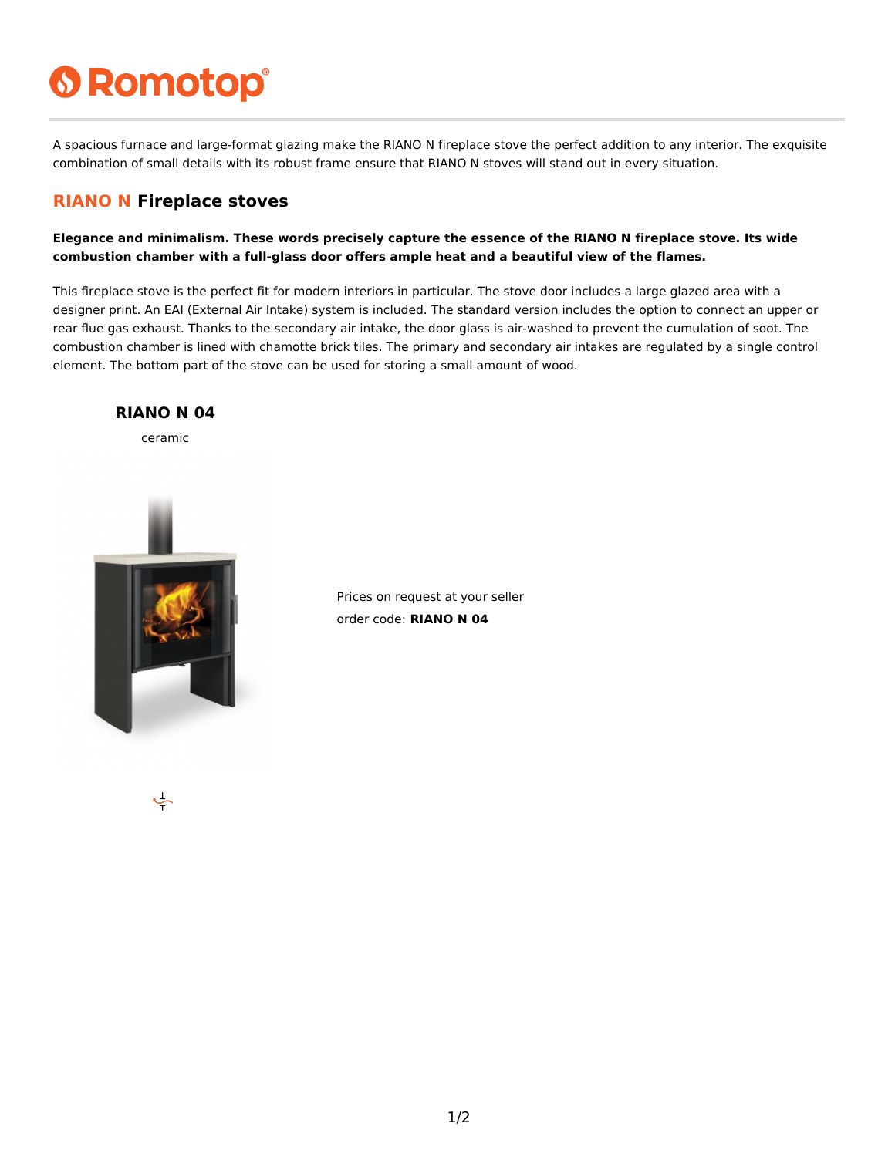# **6 Romotop®**

A spacious furnace and large-format glazing make the RIANO N fireplace stove the perfect addition to any interior. The exquisite combination of small details with its robust frame ensure that RIANO N stoves will stand out in every situation.

#### **RIANO N Fireplace stoves**

**Elegance and minimalism. These words precisely capture the essence of the RIANO N fireplace stove. Its wide combustion chamber with a full-glass door offers ample heat and a beautiful view of the flames.**

This fireplace stove is the perfect fit for modern interiors in particular. The stove door includes a large glazed area with a designer print. An EAI (External Air Intake) system is included. The standard version includes the option to connect an upper or rear flue gas exhaust. Thanks to the secondary air intake, the door glass is air-washed to prevent the cumulation of soot. The combustion chamber is lined with chamotte brick tiles. The primary and secondary air intakes are regulated by a single control element. The bottom part of the stove can be used for storing a small amount of wood.



Prices on request at your seller order code: **RIANO N 04**